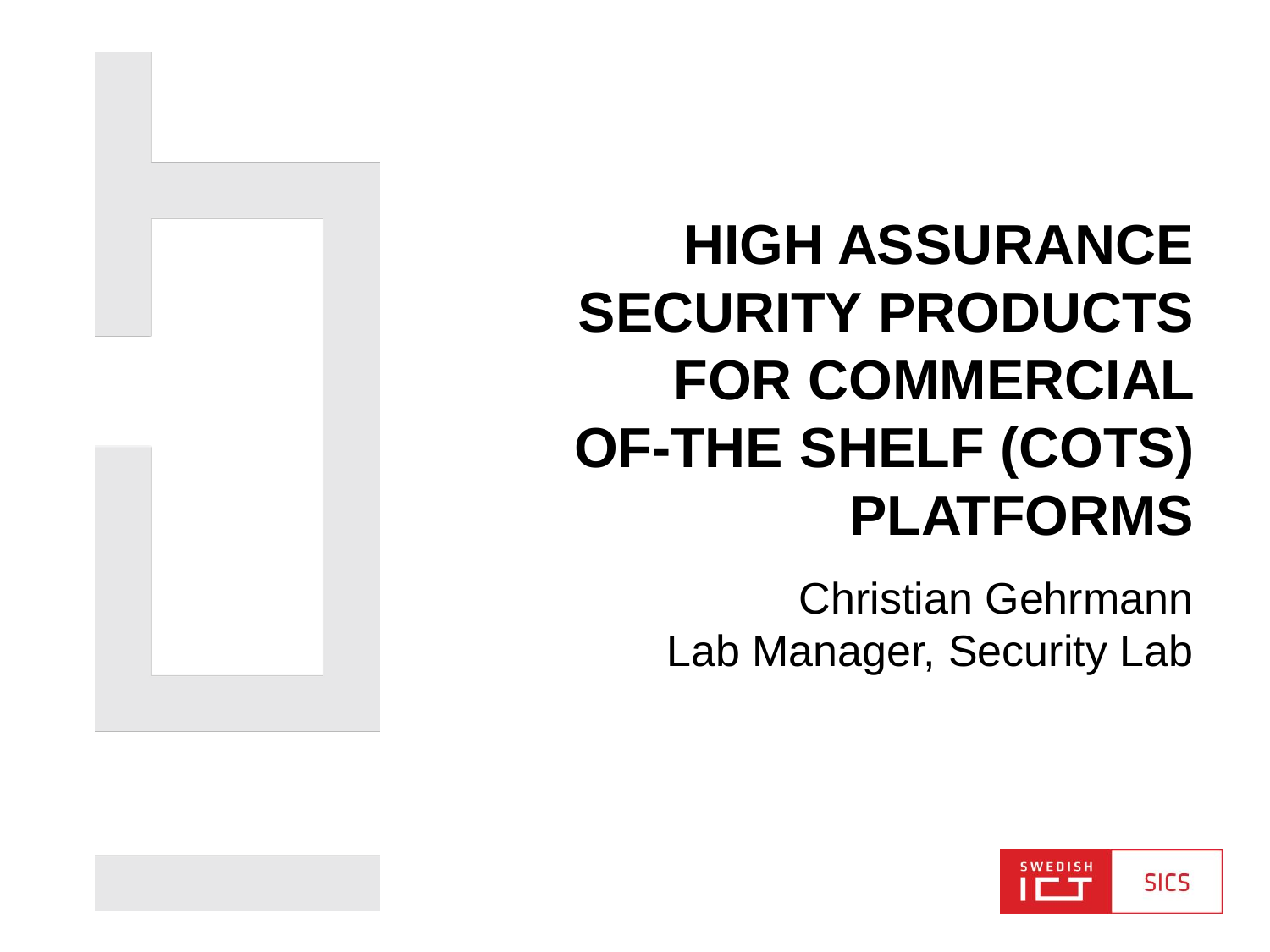#### **HIGH ASSURANCE SECURITY PRODUCTS FOR COMMERCIAL OF-THE SHELF (COTS) PLATFORMS**

Christian Gehrmann Lab Manager, Security Lab

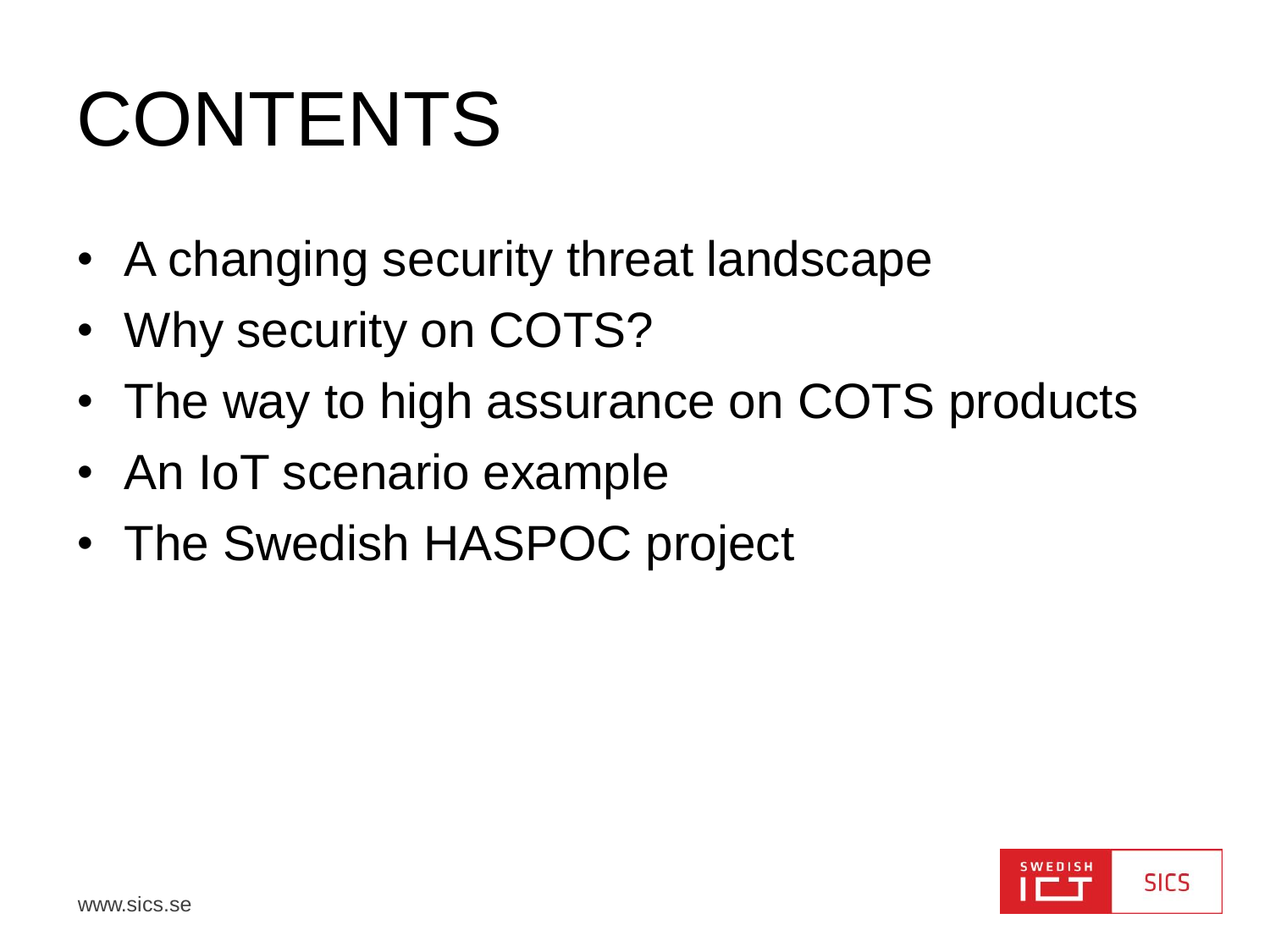# CONTENTS

- A changing security threat landscape
- Why security on COTS?
- The way to high assurance on COTS products
- An IoT scenario example
- The Swedish HASPOC project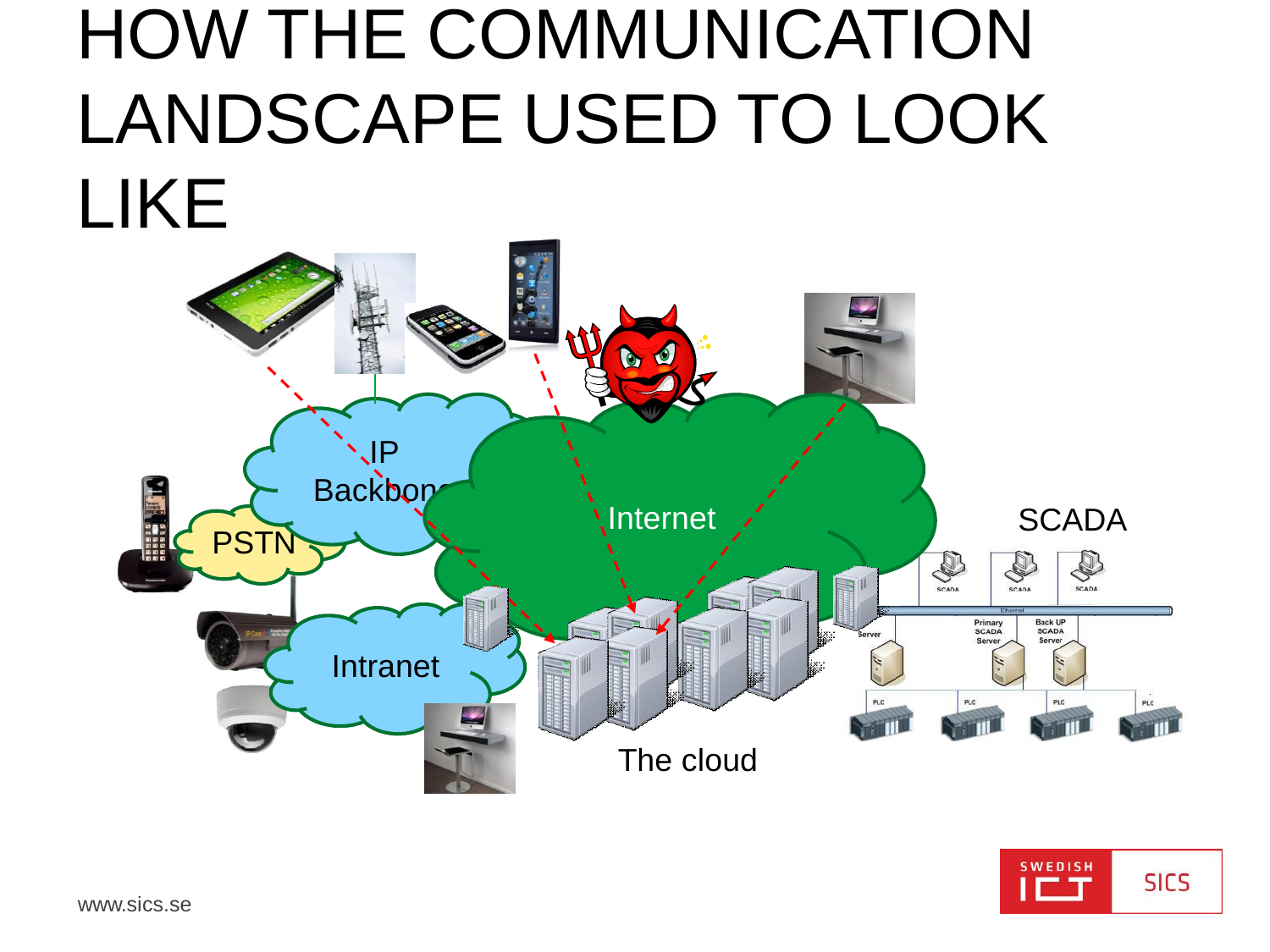#### **HOW THE COMMUNICATION** LANDSCAPE USED TO LOOK **LIKE**



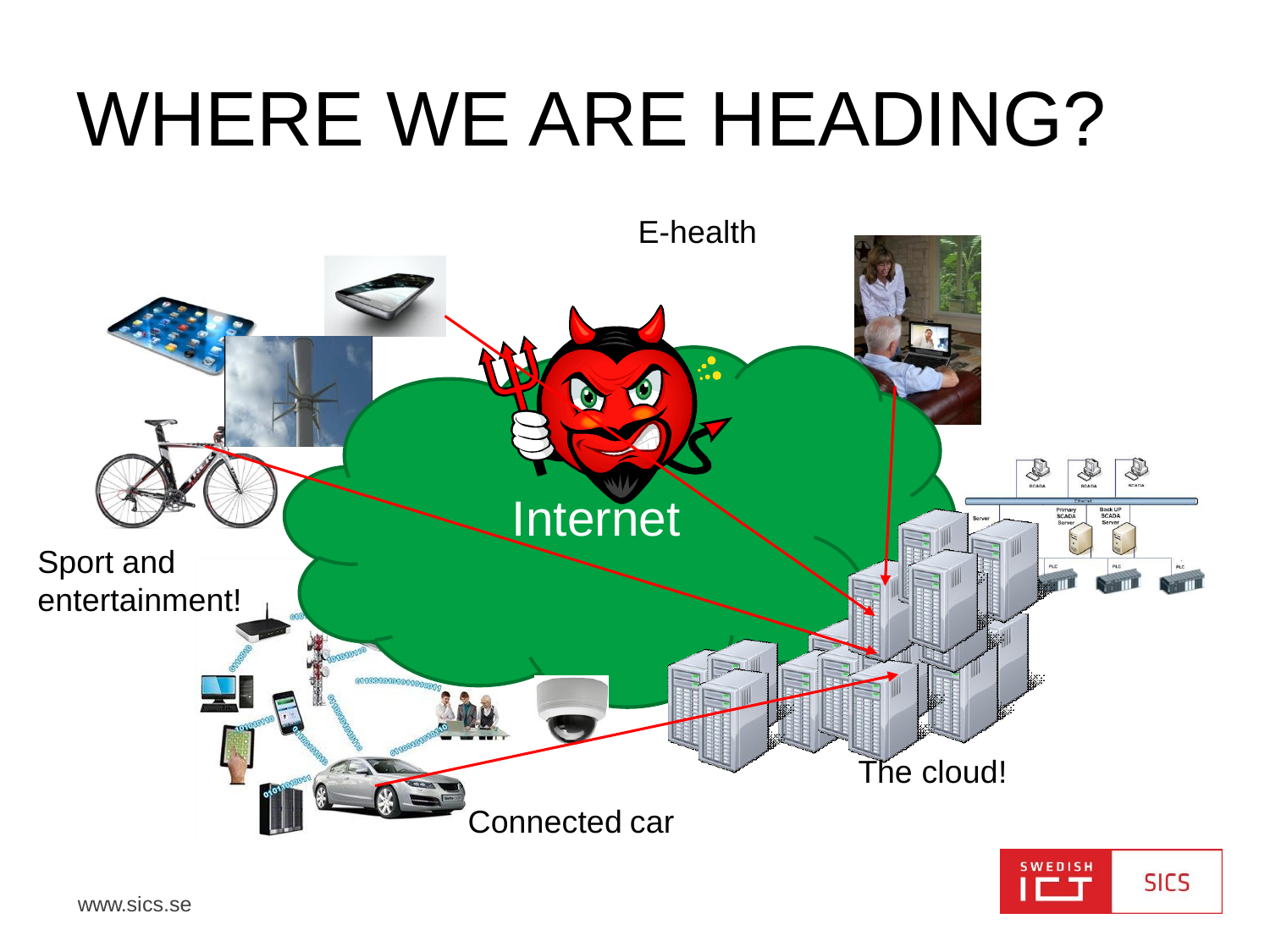## WHERE WE ARE HEADING?



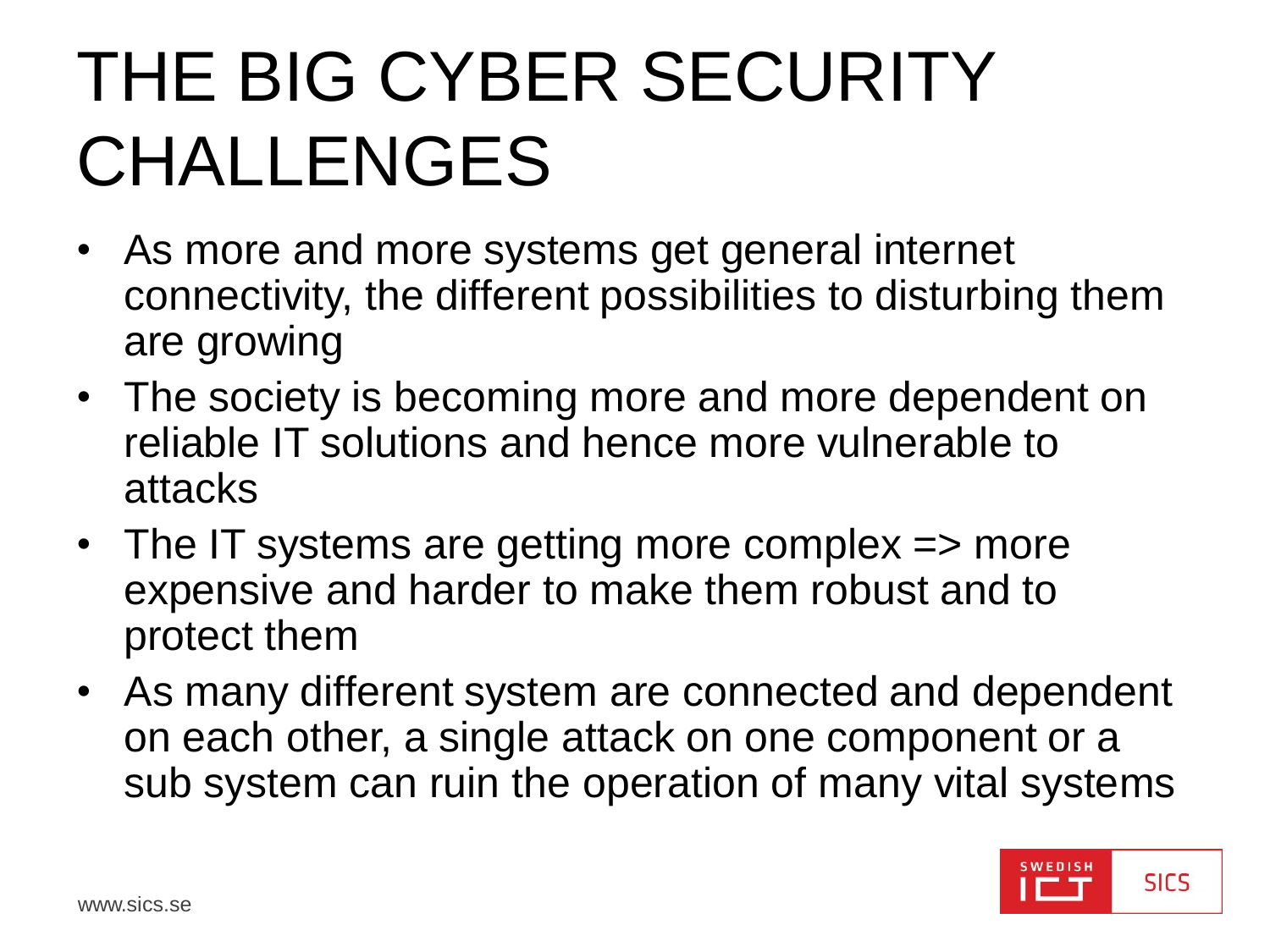#### THE BIG CYBER SECURITY CHALLENGES

- As more and more systems get general internet connectivity, the different possibilities to disturbing them are growing
- The society is becoming more and more dependent on reliable IT solutions and hence more vulnerable to attacks
- The IT systems are getting more complex => more expensive and harder to make them robust and to protect them
- As many different system are connected and dependent on each other, a single attack on one component or a sub system can ruin the operation of many vital systems

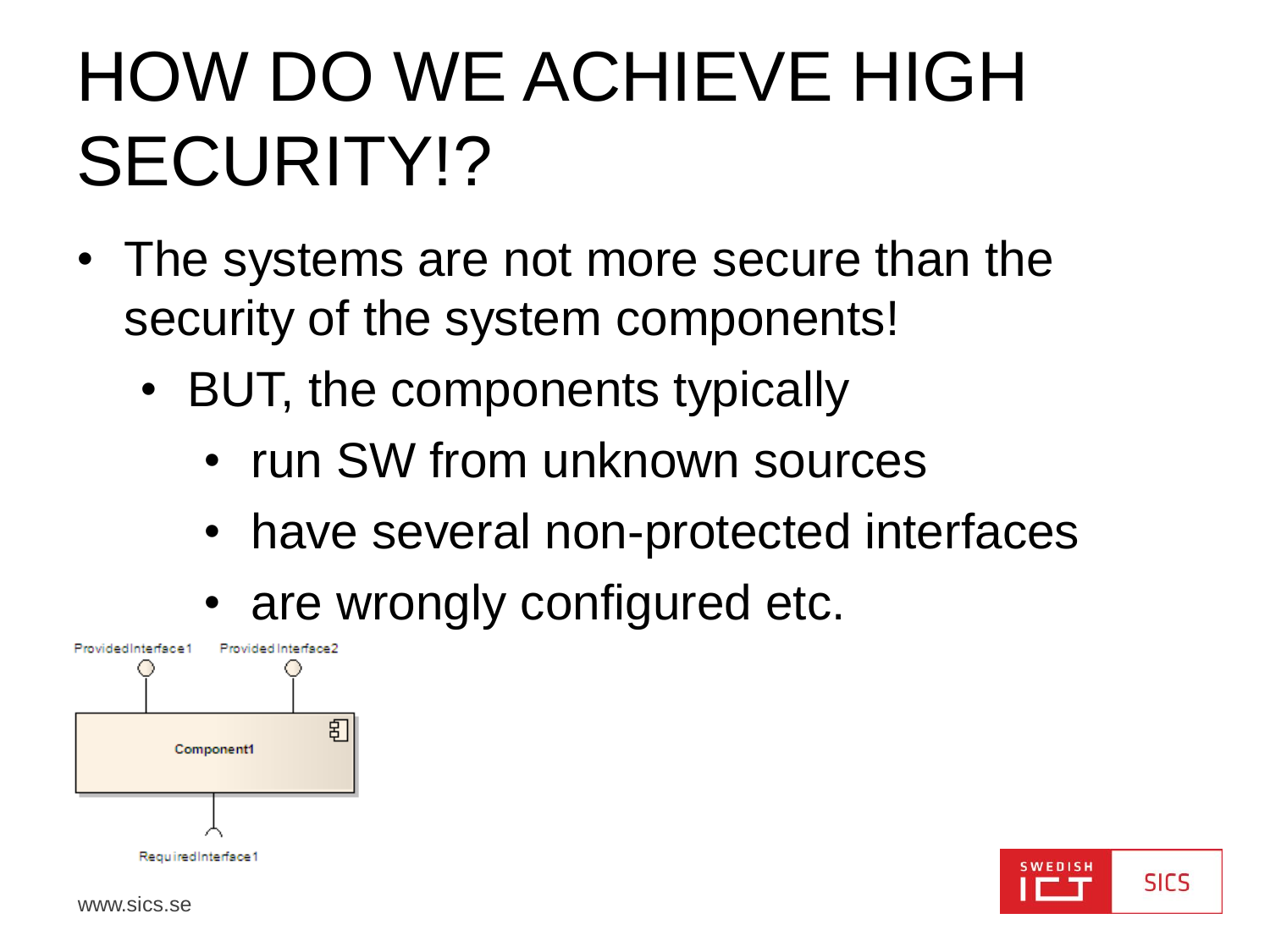#### HOW DO WE ACHIEVE HIGH SECURITY!?

- The systems are not more secure than the security of the system components!
	- BUT, the components typically
		- run SW from unknown sources
		- have several non-protected interfaces
		- are wrongly configured etc.





www.sics.se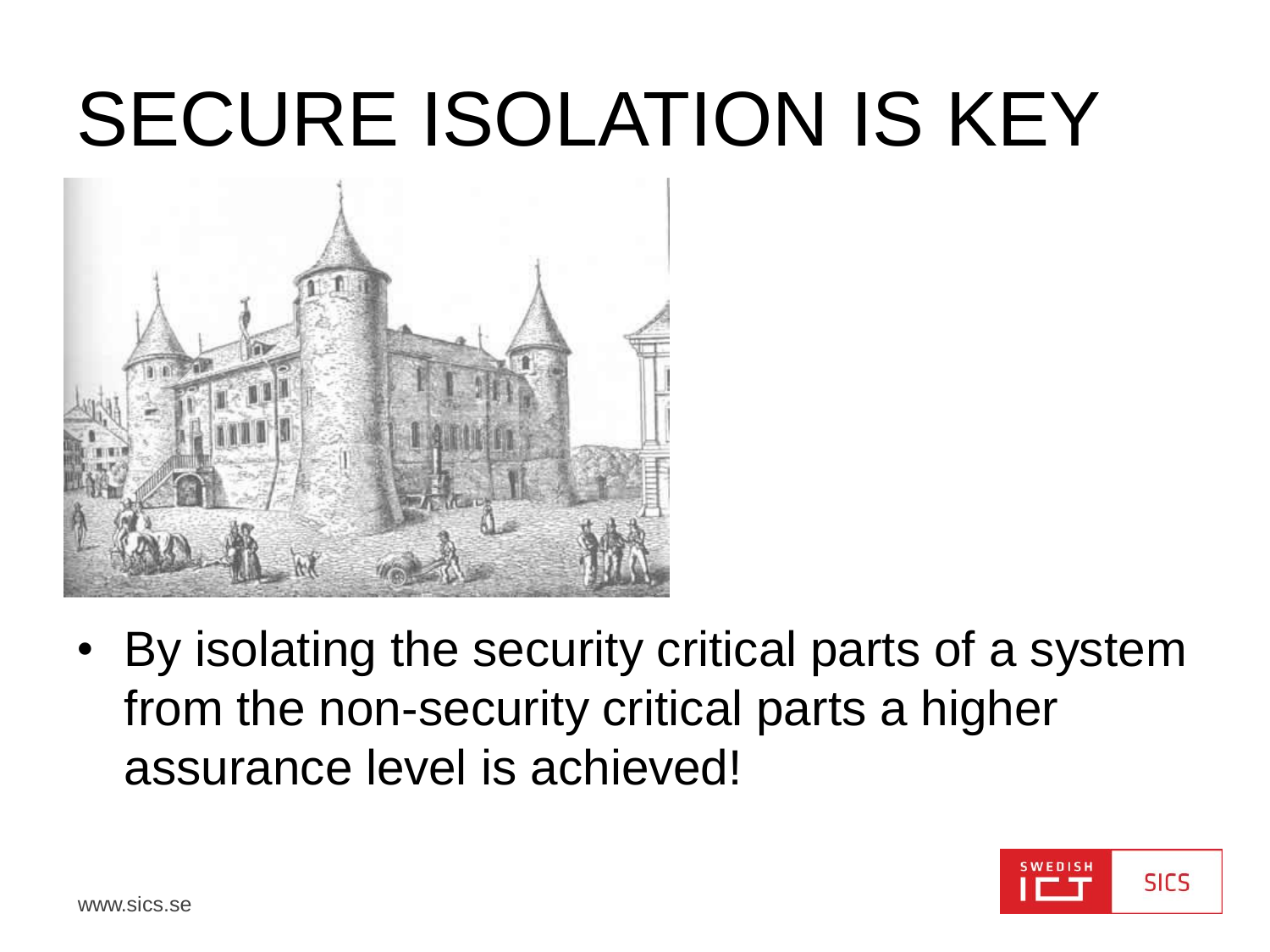## SECURE ISOLATION IS KEY



• By isolating the security critical parts of a system from the non-security critical parts a higher assurance level is achieved!

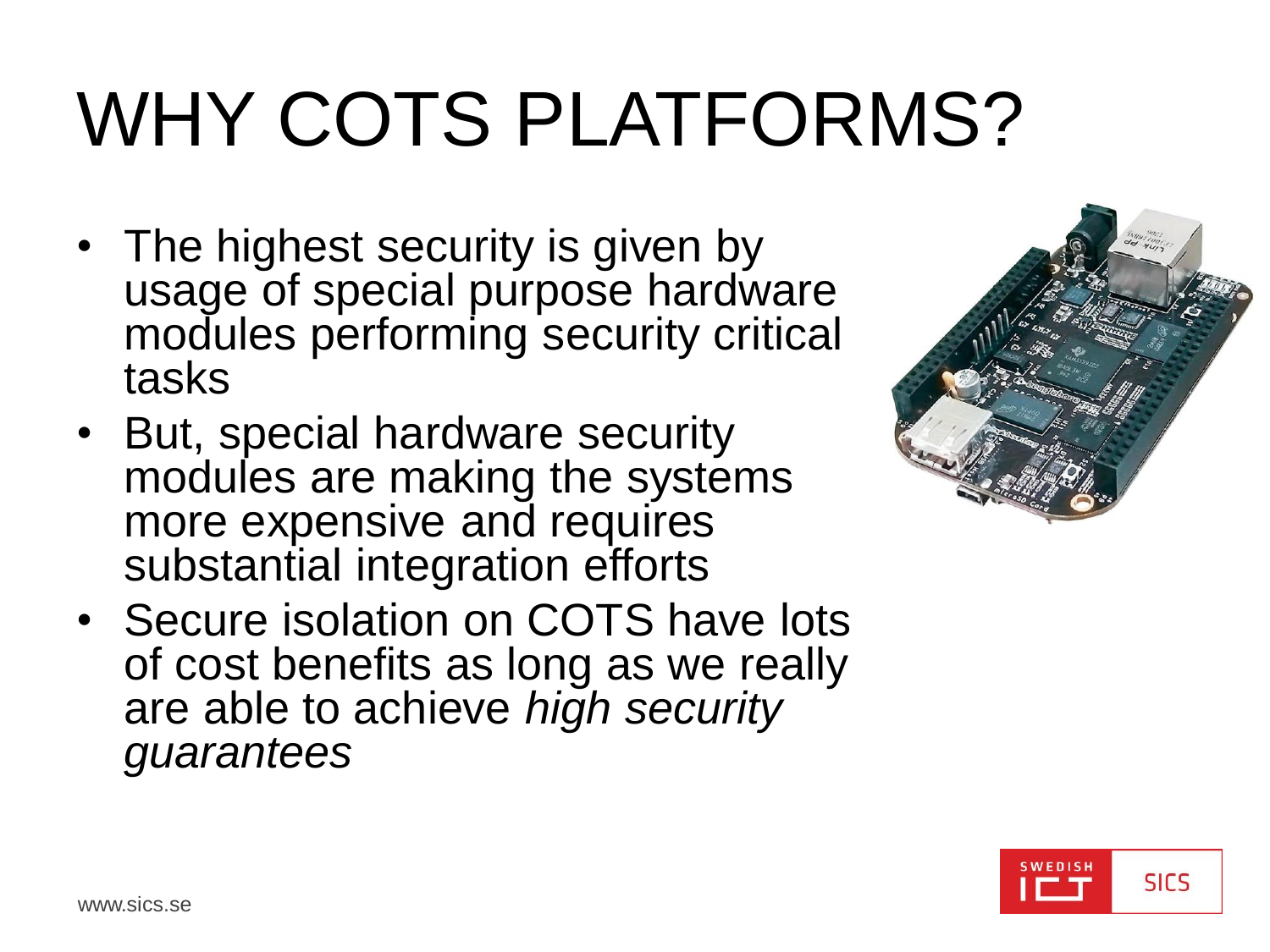# WHY COTS PLATFORMS?

- The highest security is given by usage of special purpose hardware modules performing security critical tasks
- But, special hardware security modules are making the systems more expensive and requires substantial integration efforts
- Secure isolation on COTS have lots of cost benefits as long as we really are able to achieve *high security guarantees*



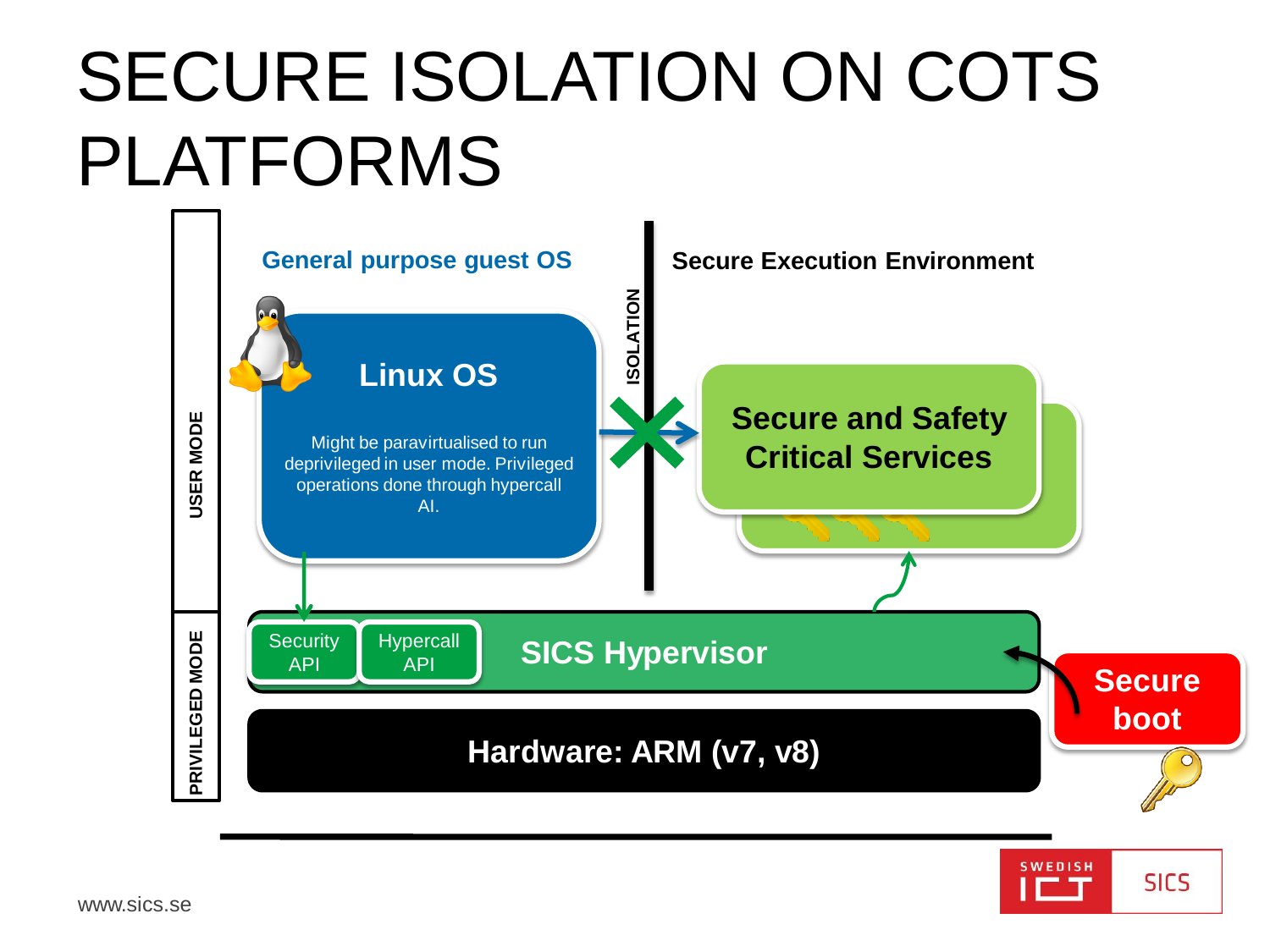#### SECURE ISOLATION ON COTS PLATFORMS



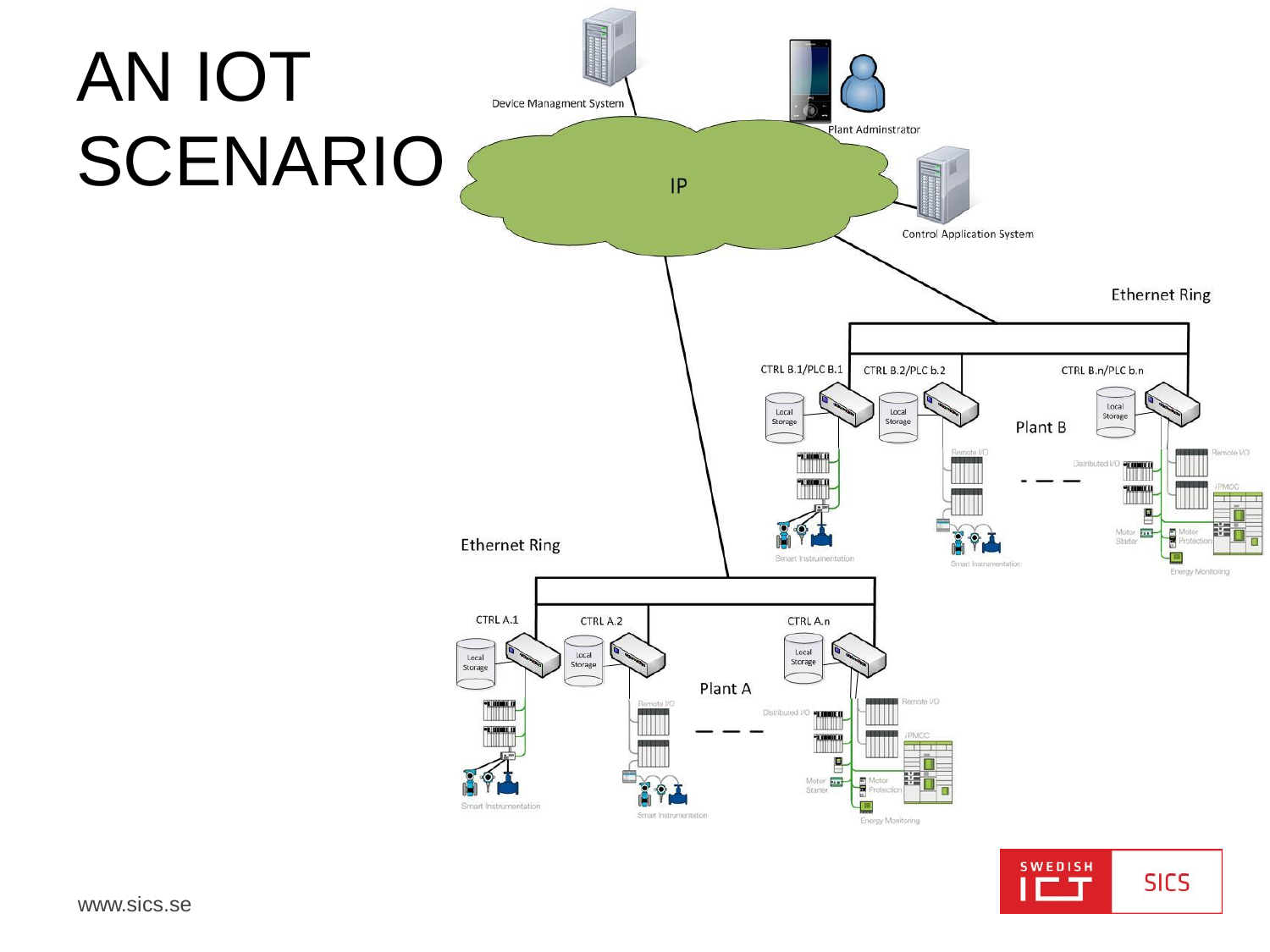

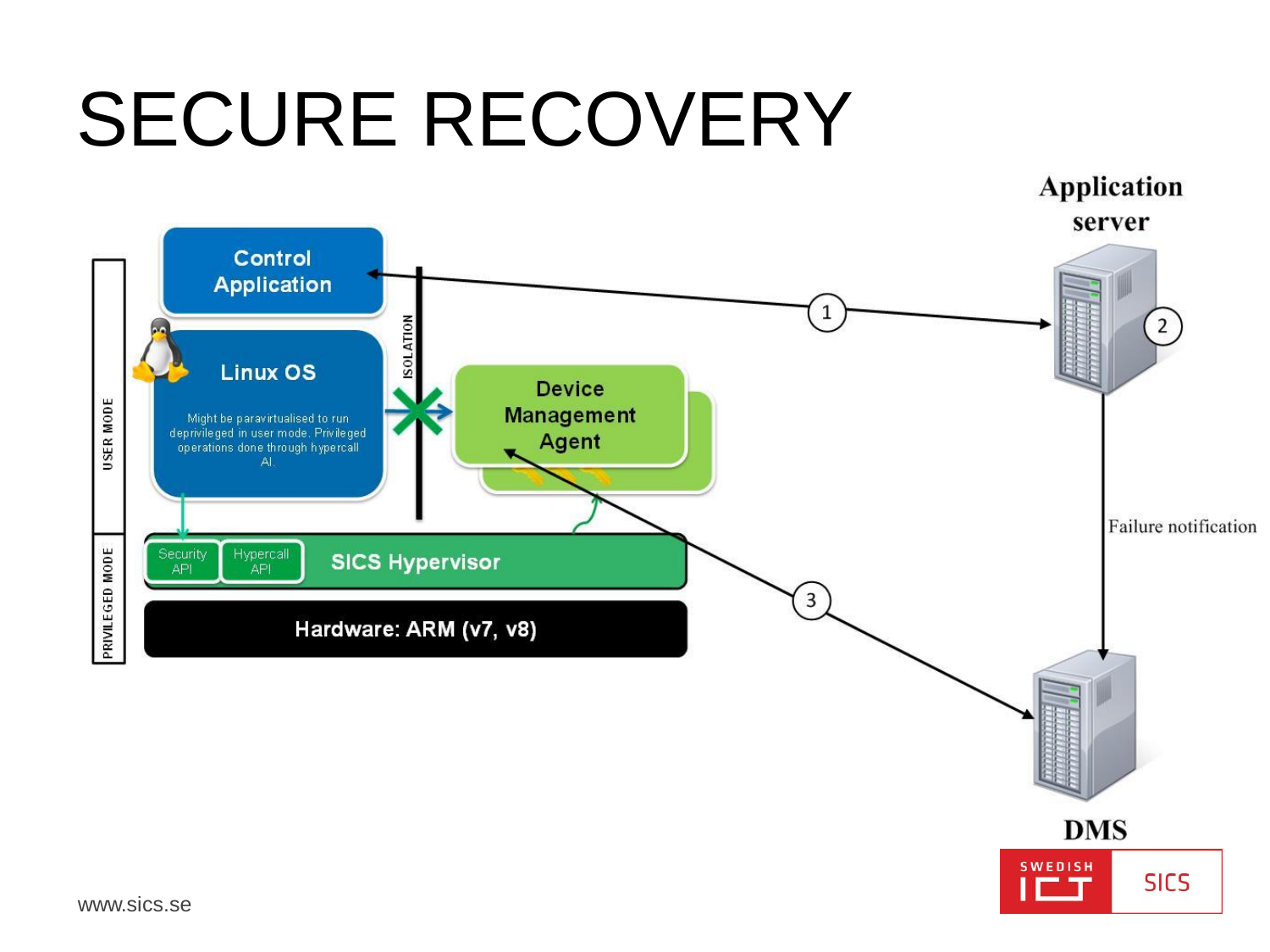### SECURE RECOVERY

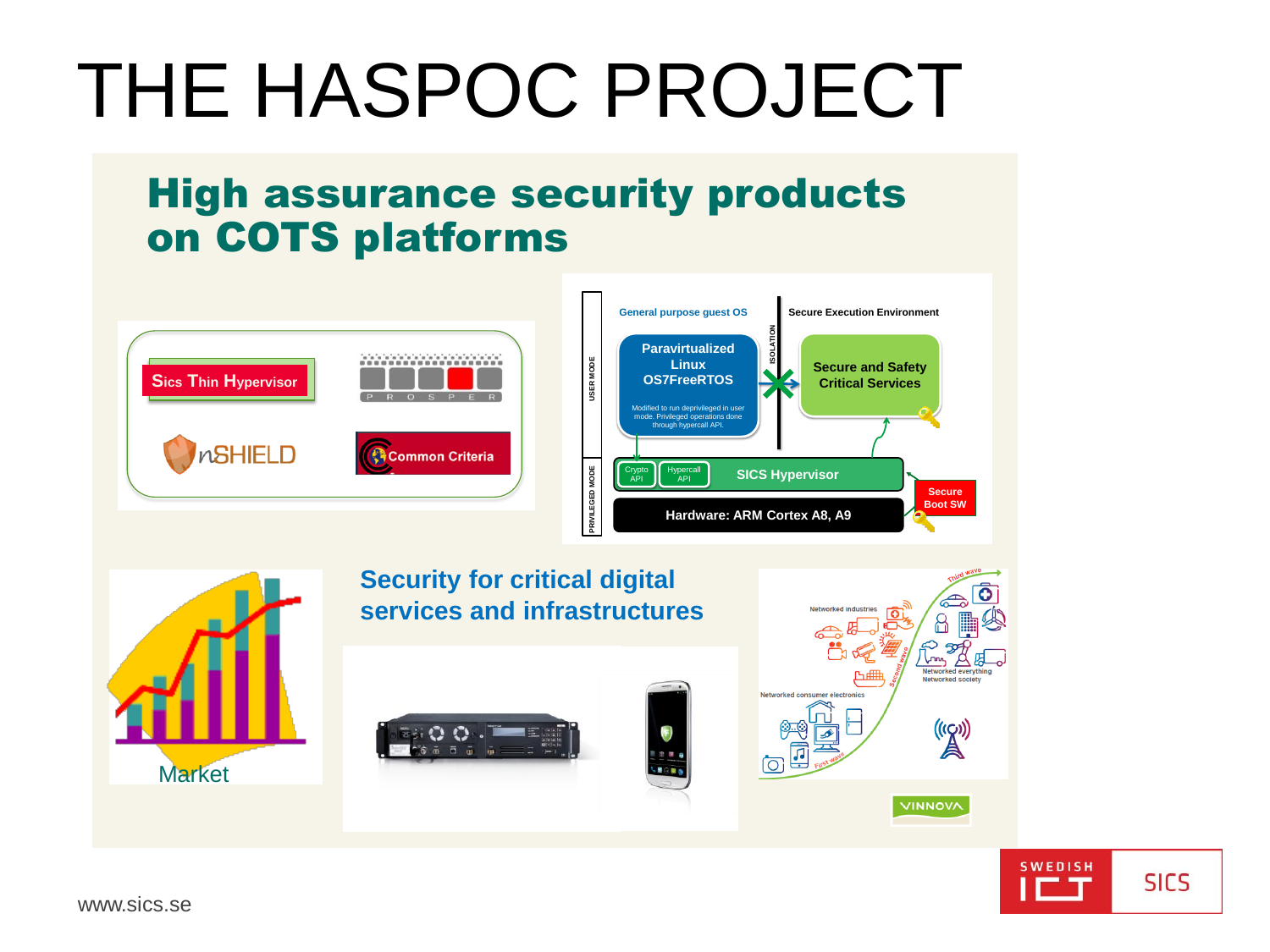### THE HASPOC PROJECT

#### High assurance security products on COTS platforms

![](_page_11_Picture_2.jpeg)

**Security for critical digital services and infrastructures** etworked society Networked consumer electronics  $\mathbb{A}^{(\text{eq})}$ ®®<br>, <mark>同</mark>  $\sqrt{2}$ **Market VINNOVA** 

![](_page_11_Picture_4.jpeg)